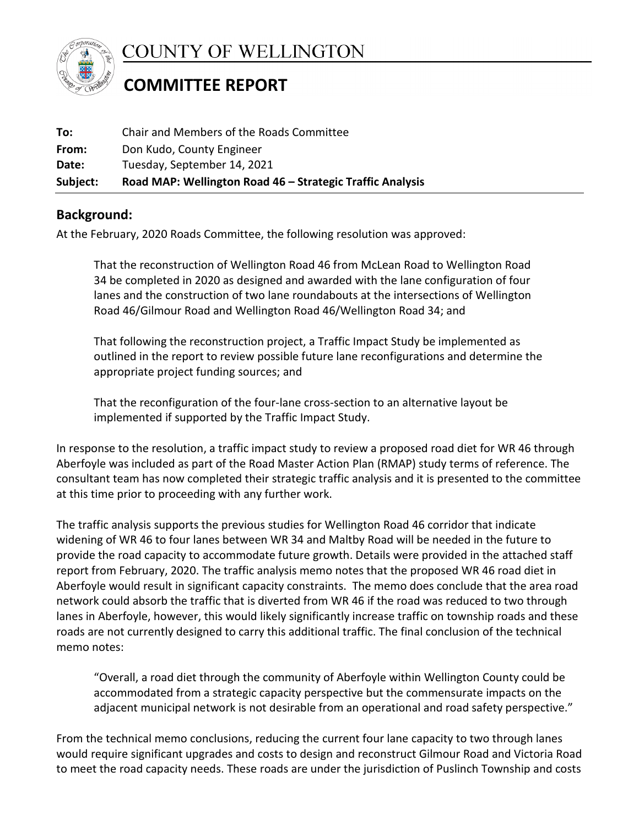

**COUNTY OF WELLINGTON** 

## **COMMITTEE REPORT**

| Subject: | Road MAP: Wellington Road 46 – Strategic Traffic Analysis |
|----------|-----------------------------------------------------------|
| Date:    | Tuesday, September 14, 2021                               |
| From:    | Don Kudo, County Engineer                                 |
| To:      | Chair and Members of the Roads Committee                  |

## **Background:**

At the February, 2020 Roads Committee, the following resolution was approved:

That the reconstruction of Wellington Road 46 from McLean Road to Wellington Road 34 be completed in 2020 as designed and awarded with the lane configuration of four lanes and the construction of two lane roundabouts at the intersections of Wellington Road 46/Gilmour Road and Wellington Road 46/Wellington Road 34; and

That following the reconstruction project, a Traffic Impact Study be implemented as outlined in the report to review possible future lane reconfigurations and determine the appropriate project funding sources; and

That the reconfiguration of the four-lane cross-section to an alternative layout be implemented if supported by the Traffic Impact Study.

In response to the resolution, a traffic impact study to review a proposed road diet for WR 46 through Aberfoyle was included as part of the Road Master Action Plan (RMAP) study terms of reference. The consultant team has now completed their strategic traffic analysis and it is presented to the committee at this time prior to proceeding with any further work.

The traffic analysis supports the previous studies for Wellington Road 46 corridor that indicate widening of WR 46 to four lanes between WR 34 and Maltby Road will be needed in the future to provide the road capacity to accommodate future growth. Details were provided in the attached staff report from February, 2020. The traffic analysis memo notes that the proposed WR 46 road diet in Aberfoyle would result in significant capacity constraints. The memo does conclude that the area road network could absorb the traffic that is diverted from WR 46 if the road was reduced to two through lanes in Aberfoyle, however, this would likely significantly increase traffic on township roads and these roads are not currently designed to carry this additional traffic. The final conclusion of the technical memo notes:

"Overall, a road diet through the community of Aberfoyle within Wellington County could be accommodated from a strategic capacity perspective but the commensurate impacts on the adjacent municipal network is not desirable from an operational and road safety perspective."

From the technical memo conclusions, reducing the current four lane capacity to two through lanes would require significant upgrades and costs to design and reconstruct Gilmour Road and Victoria Road to meet the road capacity needs. These roads are under the jurisdiction of Puslinch Township and costs